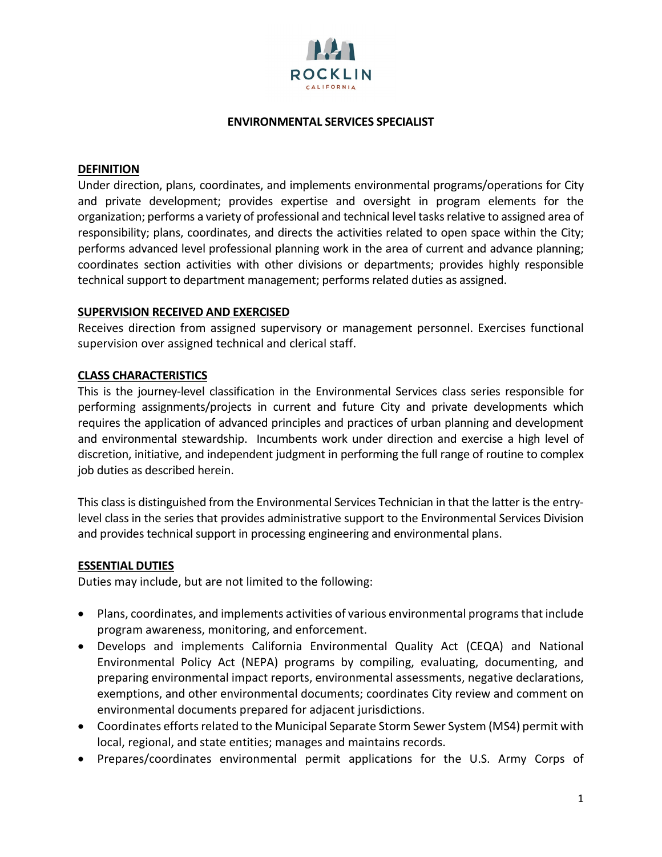

## **ENVIRONMENTAL SERVICES SPECIALIST**

### **DEFINITION**

Under direction, plans, coordinates, and implements environmental programs/operations for City and private development; provides expertise and oversight in program elements for the organization; performs a variety of professional and technical level tasks relative to assigned area of responsibility; plans, coordinates, and directs the activities related to open space within the City; performs advanced level professional planning work in the area of current and advance planning; coordinates section activities with other divisions or departments; provides highly responsible technical support to department management; performs related duties as assigned.

### **SUPERVISION RECEIVED AND EXERCISED**

Receives direction from assigned supervisory or management personnel. Exercises functional supervision over assigned technical and clerical staff.

## **CLASS CHARACTERISTICS**

This is the journey-level classification in the Environmental Services class series responsible for performing assignments/projects in current and future City and private developments which requires the application of advanced principles and practices of urban planning and development and environmental stewardship. Incumbents work under direction and exercise a high level of discretion, initiative, and independent judgment in performing the full range of routine to complex job duties as described herein.

This class is distinguished from the Environmental Services Technician in that the latter is the entrylevel class in the series that provides administrative support to the Environmental Services Division and provides technical support in processing engineering and environmental plans.

## **ESSENTIAL DUTIES**

Duties may include, but are not limited to the following:

- Plans, coordinates, and implements activities of various environmental programs that include program awareness, monitoring, and enforcement.
- Develops and implements California Environmental Quality Act (CEQA) and National Environmental Policy Act (NEPA) programs by compiling, evaluating, documenting, and preparing environmental impact reports, environmental assessments, negative declarations, exemptions, and other environmental documents; coordinates City review and comment on environmental documents prepared for adjacent jurisdictions.
- Coordinates efforts related to the Municipal Separate Storm Sewer System (MS4) permit with local, regional, and state entities; manages and maintains records.
- Prepares/coordinates environmental permit applications for the U.S. Army Corps of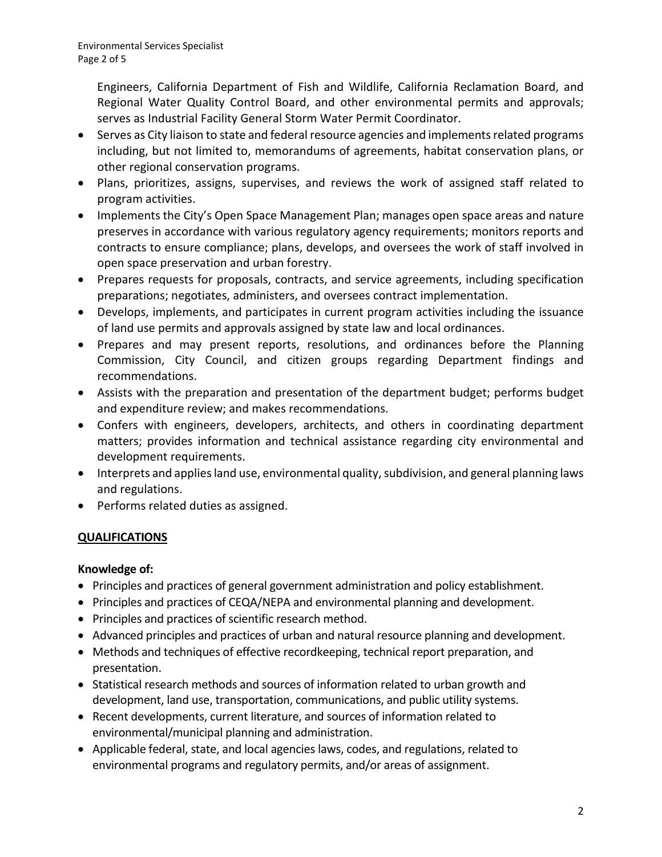Engineers, California Department of Fish and Wildlife, California Reclamation Board, and Regional Water Quality Control Board, and other environmental permits and approvals; serves as Industrial Facility General Storm Water Permit Coordinator.

- Serves as City liaison to state and federal resource agencies and implements related programs including, but not limited to, memorandums of agreements, habitat conservation plans, or other regional conservation programs.
- Plans, prioritizes, assigns, supervises, and reviews the work of assigned staff related to program activities.
- Implements the City's Open Space Management Plan; manages open space areas and nature preserves in accordance with various regulatory agency requirements; monitors reports and contracts to ensure compliance; plans, develops, and oversees the work of staff involved in open space preservation and urban forestry.
- Prepares requests for proposals, contracts, and service agreements, including specification preparations; negotiates, administers, and oversees contract implementation.
- Develops, implements, and participates in current program activities including the issuance of land use permits and approvals assigned by state law and local ordinances.
- Prepares and may present reports, resolutions, and ordinances before the Planning Commission, City Council, and citizen groups regarding Department findings and recommendations.
- Assists with the preparation and presentation of the department budget; performs budget and expenditure review; and makes recommendations.
- Confers with engineers, developers, architects, and others in coordinating department matters; provides information and technical assistance regarding city environmental and development requirements.
- Interprets and applies land use, environmental quality, subdivision, and general planning laws and regulations.
- Performs related duties as assigned.

# **QUALIFICATIONS**

# **Knowledge of:**

- Principles and practices of general government administration and policy establishment.
- Principles and practices of CEQA/NEPA and environmental planning and development.
- Principles and practices of scientific research method.
- Advanced principles and practices of urban and natural resource planning and development.
- Methods and techniques of effective recordkeeping, technical report preparation, and presentation.
- Statistical research methods and sources of information related to urban growth and development, land use, transportation, communications, and public utility systems.
- Recent developments, current literature, and sources of information related to environmental/municipal planning and administration.
- Applicable federal, state, and local agencies laws, codes, and regulations, related to environmental programs and regulatory permits, and/or areas of assignment.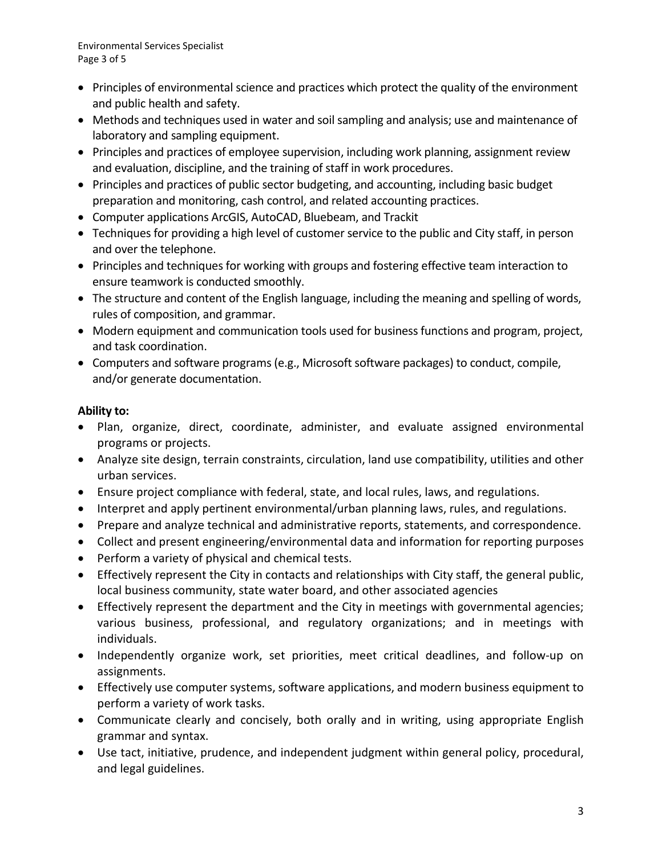- Principles of environmental science and practices which protect the quality of the environment and public health and safety.
- Methods and techniques used in water and soil sampling and analysis; use and maintenance of laboratory and sampling equipment.
- Principles and practices of employee supervision, including work planning, assignment review and evaluation, discipline, and the training of staff in work procedures.
- Principles and practices of public sector budgeting, and accounting, including basic budget preparation and monitoring, cash control, and related accounting practices.
- Computer applications ArcGIS, AutoCAD, Bluebeam, and Trackit
- Techniques for providing a high level of customer service to the public and City staff, in person and over the telephone.
- Principles and techniques for working with groups and fostering effective team interaction to ensure teamwork is conducted smoothly.
- The structure and content of the English language, including the meaning and spelling of words, rules of composition, and grammar.
- Modern equipment and communication tools used for business functions and program, project, and task coordination.
- Computers and software programs (e.g., Microsoft software packages) to conduct, compile, and/or generate documentation.

## **Ability to:**

- Plan, organize, direct, coordinate, administer, and evaluate assigned environmental programs or projects.
- Analyze site design, terrain constraints, circulation, land use compatibility, utilities and other urban services.
- Ensure project compliance with federal, state, and local rules, laws, and regulations.
- Interpret and apply pertinent environmental/urban planning laws, rules, and regulations.
- Prepare and analyze technical and administrative reports, statements, and correspondence.
- Collect and present engineering/environmental data and information for reporting purposes
- Perform a variety of physical and chemical tests.
- Effectively represent the City in contacts and relationships with City staff, the general public, local business community, state water board, and other associated agencies
- Effectively represent the department and the City in meetings with governmental agencies; various business, professional, and regulatory organizations; and in meetings with individuals.
- Independently organize work, set priorities, meet critical deadlines, and follow-up on assignments.
- Effectively use computer systems, software applications, and modern business equipment to perform a variety of work tasks.
- Communicate clearly and concisely, both orally and in writing, using appropriate English grammar and syntax.
- Use tact, initiative, prudence, and independent judgment within general policy, procedural, and legal guidelines.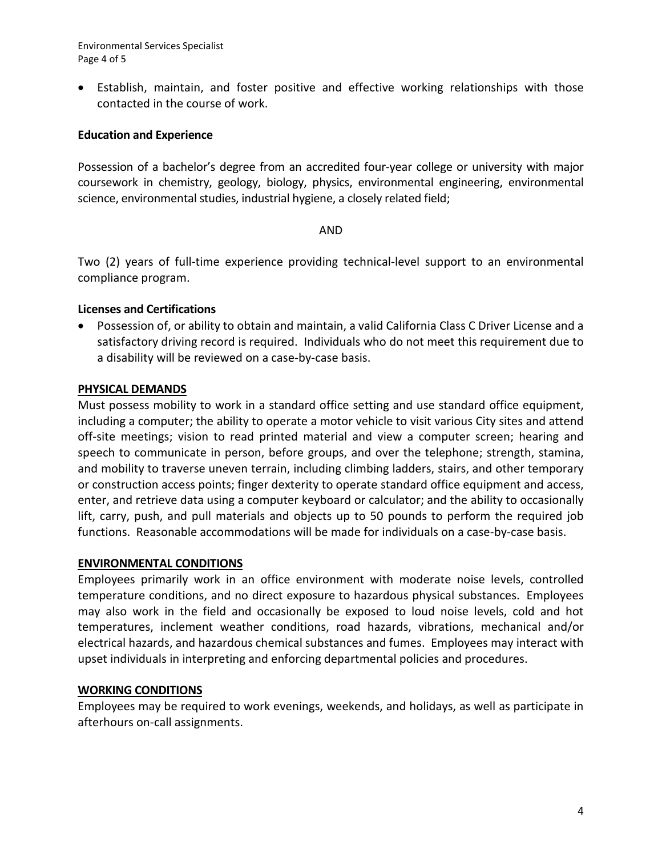Environmental Services Specialist Page 4 of 5

• Establish, maintain, and foster positive and effective working relationships with those contacted in the course of work.

## **Education and Experience**

Possession of a bachelor's degree from an accredited four-year college or university with major coursework in chemistry, geology, biology, physics, environmental engineering, environmental science, environmental studies, industrial hygiene, a closely related field;

### AND

Two (2) years of full-time experience providing technical-level support to an environmental compliance program.

## **Licenses and Certifications**

• Possession of, or ability to obtain and maintain, a valid California Class C Driver License and a satisfactory driving record is required. Individuals who do not meet this requirement due to a disability will be reviewed on a case-by-case basis.

## **PHYSICAL DEMANDS**

Must possess mobility to work in a standard office setting and use standard office equipment, including a computer; the ability to operate a motor vehicle to visit various City sites and attend off-site meetings; vision to read printed material and view a computer screen; hearing and speech to communicate in person, before groups, and over the telephone; strength, stamina, and mobility to traverse uneven terrain, including climbing ladders, stairs, and other temporary or construction access points; finger dexterity to operate standard office equipment and access, enter, and retrieve data using a computer keyboard or calculator; and the ability to occasionally lift, carry, push, and pull materials and objects up to 50 pounds to perform the required job functions. Reasonable accommodations will be made for individuals on a case-by-case basis.

### **ENVIRONMENTAL CONDITIONS**

Employees primarily work in an office environment with moderate noise levels, controlled temperature conditions, and no direct exposure to hazardous physical substances. Employees may also work in the field and occasionally be exposed to loud noise levels, cold and hot temperatures, inclement weather conditions, road hazards, vibrations, mechanical and/or electrical hazards, and hazardous chemical substances and fumes. Employees may interact with upset individuals in interpreting and enforcing departmental policies and procedures.

### **WORKING CONDITIONS**

Employees may be required to work evenings, weekends, and holidays, as well as participate in afterhours on-call assignments.